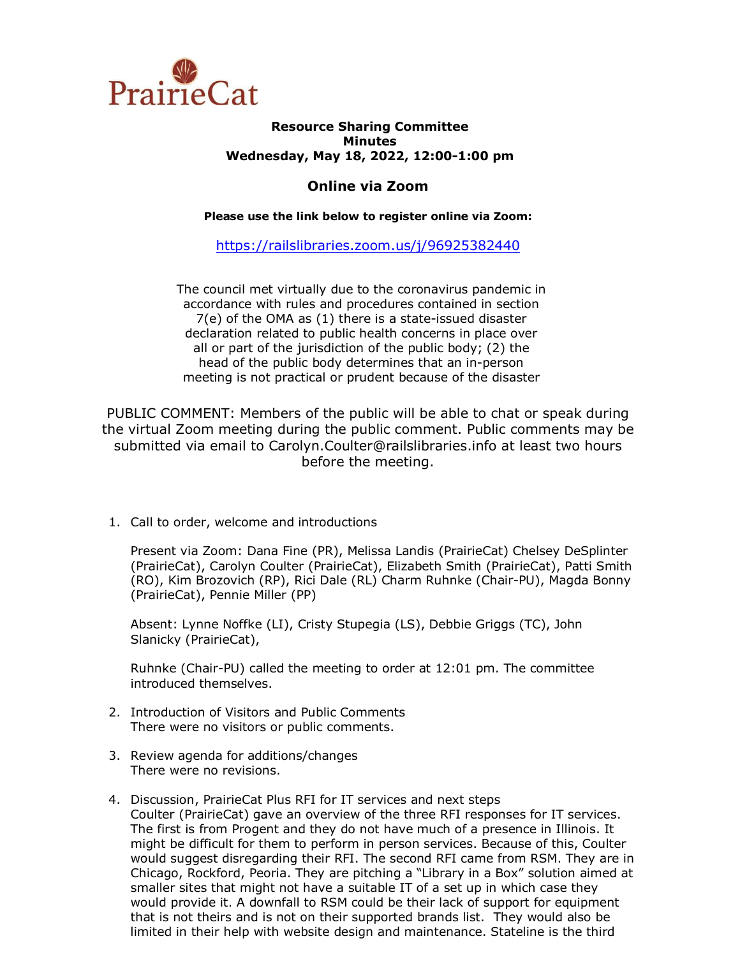

## **Resource Sharing Committee Minutes Wednesday, May 18, 2022, 12:00-1:00 pm**

## **Online via Zoom**

**Please use the link below to register online via Zoom:**

<https://railslibraries.zoom.us/j/96925382440>

The council met virtually due to the coronavirus pandemic in accordance with rules and procedures contained in section 7(e) of the OMA as (1) there is a state-issued disaster declaration related to public health concerns in place over all or part of the jurisdiction of the public body; (2) the head of the public body determines that an in-person meeting is not practical or prudent because of the disaster

PUBLIC COMMENT: Members of the public will be able to chat or speak during the virtual Zoom meeting during the public comment. Public comments may be submitted via email to Carolyn.Coulter@railslibraries.info at least two hours before the meeting.

1. Call to order, welcome and introductions

Present via Zoom: Dana Fine (PR), Melissa Landis (PrairieCat) Chelsey DeSplinter (PrairieCat), Carolyn Coulter (PrairieCat), Elizabeth Smith (PrairieCat), Patti Smith (RO), Kim Brozovich (RP), Rici Dale (RL) Charm Ruhnke (Chair-PU), Magda Bonny (PrairieCat), Pennie Miller (PP)

Absent: Lynne Noffke (LI), Cristy Stupegia (LS), Debbie Griggs (TC), John Slanicky (PrairieCat),

Ruhnke (Chair-PU) called the meeting to order at 12:01 pm. The committee introduced themselves.

- 2. Introduction of Visitors and Public Comments There were no visitors or public comments.
- 3. Review agenda for additions/changes There were no revisions.
- 4. Discussion, PrairieCat Plus RFI for IT services and next steps Coulter (PrairieCat) gave an overview of the three RFI responses for IT services. The first is from Progent and they do not have much of a presence in Illinois. It might be difficult for them to perform in person services. Because of this, Coulter would suggest disregarding their RFI. The second RFI came from RSM. They are in Chicago, Rockford, Peoria. They are pitching a "Library in a Box" solution aimed at smaller sites that might not have a suitable IT of a set up in which case they would provide it. A downfall to RSM could be their lack of support for equipment that is not theirs and is not on their supported brands list. They would also be limited in their help with website design and maintenance. Stateline is the third